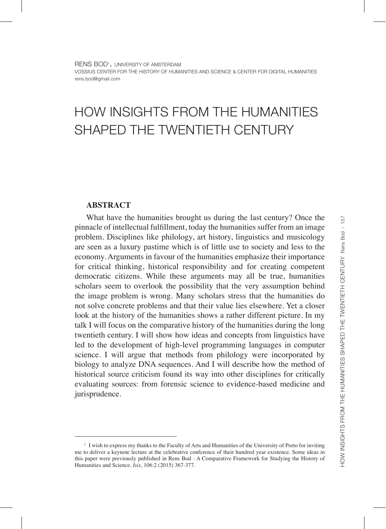# HOW INSIGHTS FROM THE HUMANITIES SHAPED THE TWENTIETH CENTURY

# **ABSTRACT**

What have the humanities brought us during the last century? Once the pinnacle of intellectual fulfillment, today the humanities suffer from an image problem. Disciplines like philology, art history, linguistics and musicology are seen as a luxury pastime which is of little use to society and less to the economy. Arguments in favour of the humanities emphasize their importance for critical thinking, historical responsibility and for creating competent democratic citizens. While these arguments may all be true, humanities scholars seem to overlook the possibility that the very assumption behind the image problem is wrong. Many scholars stress that the humanities do not solve concrete problems and that their value lies elsewhere. Yet a closer look at the history of the humanities shows a rather different picture. In my talk I will focus on the comparative history of the humanities during the long twentieth century. I will show how ideas and concepts from linguistics have led to the development of high-level programming languages in computer science. I will argue that methods from philology were incorporated by biology to analyze DNA sequences. And I will describe how the method of historical source criticism found its way into other disciplines for critically evaluating sources: from forensic science to evidence-based medicine and jurisprudence.

<sup>1</sup> I wish to express my thanks to the Faculty of Arts and Humanities of the University of Porto for inviting me to deliver a keynote lecture at the celebrative conference of their hundred year existence. Some ideas in this paper were previously published in Rens Bod - A Comparative Framework for Studying the History of Humanities and Science. *Isis*, 106:2 (2015) 367-377.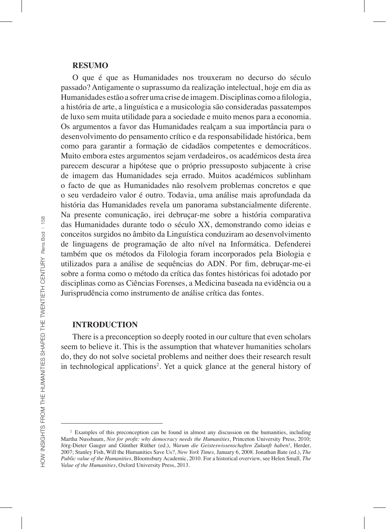#### **RESUMO**

O que é que as Humanidades nos trouxeram no decurso do século passado? Antigamente o suprassumo da realização intelectual, hoje em dia as Humanidades estão a sofrer uma crise de imagem. Disciplinas como a filologia, a história de arte, a linguística e a musicologia são consideradas passatempos de luxo sem muita utilidade para a sociedade e muito menos para a economia. Os argumentos a favor das Humanidades realçam a sua importância para o desenvolvimento do pensamento crítico e da responsabilidade histórica, bem como para garantir a formação de cidadãos competentes e democráticos. Muito embora estes argumentos sejam verdadeiros, os académicos desta área parecem descurar a hipótese que o próprio pressuposto subjacente à crise de imagem das Humanidades seja errado. Muitos académicos sublinham o facto de que as Humanidades não resolvem problemas concretos e que o seu verdadeiro valor é outro. Todavia, uma análise mais aprofundada da história das Humanidades revela um panorama substancialmente diferente. Na presente comunicação, irei debruçar-me sobre a história comparativa das Humanidades durante todo o século XX, demonstrando como ideias e conceitos surgidos no âmbito da Linguística conduziram ao desenvolvimento de linguagens de programação de alto nível na Informática. Defenderei também que os métodos da Filologia foram incorporados pela Biologia e utilizados para a análise de sequências do ADN. Por fim, debruçar-me-ei sobre a forma como o método da crítica das fontes históricas foi adotado por disciplinas como as Ciências Forenses, a Medicina baseada na evidência ou a Jurisprudência como instrumento de análise crítica das fontes.

#### **INTRODUCTION**

There is a preconception so deeply rooted in our culture that even scholars seem to believe it. This is the assumption that whatever humanities scholars do, they do not solve societal problems and neither does their research result in technological applications<sup>2</sup>. Yet a quick glance at the general history of

<sup>2</sup> Examples of this preconception can be found in almost any discussion on the humanities, including Martha Nussbaum, *Not for profit: why democracy needs the Humanities*, Princeton University Press, 2010; Jörg-Dieter Gauger and Günther Rüther (ed.), *Warum die Geisteswissenschaften Zukunft haben!*, Herder, 2007; Stanley Fish, Will the Humanities Save Us?, *New York Times,* January 6, 2008. Jonathan Bate (ed.), *The Public value of the Humanities,* Bloomsbury Academic, 2010. For a historical overview, see Helen Small*, The Value of the Humanities*, Oxford University Press, 2013.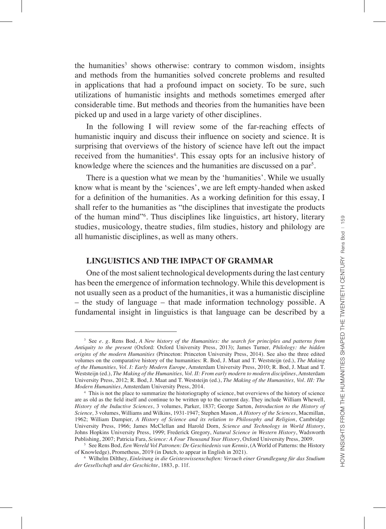the humanities<sup>3</sup> shows otherwise: contrary to common wisdom, insights and methods from the humanities solved concrete problems and resulted in applications that had a profound impact on society. To be sure, such utilizations of humanistic insights and methods sometimes emerged after considerable time. But methods and theories from the humanities have been picked up and used in a large variety of other disciplines.

In the following I will review some of the far-reaching effects of humanistic inquiry and discuss their influence on society and science. It is surprising that overviews of the history of science have left out the impact received from the humanities<sup>4</sup>. This essay opts for an inclusive history of knowledge where the sciences and the humanities are discussed on a par<sup>5</sup>.

There is a question what we mean by the 'humanities'. While we usually know what is meant by the 'sciences', we are left empty-handed when asked for a definition of the humanities. As a working definition for this essay, I shall refer to the humanities as "the disciplines that investigate the products of the human mind"6 . Thus disciplines like linguistics, art history, literary studies, musicology, theatre studies, film studies, history and philology are all humanistic disciplines, as well as many others.

## **LINGUISTICS AND THE IMPACT OF GRAMMAR**

One of the most salient technological developments during the last century has been the emergence of information technology. While this development is not usually seen as a product of the humanities, it was a humanistic discipline – the study of language – that made information technology possible. A fundamental insight in linguistics is that language can be described by a

<sup>3</sup> See *e. g.* Rens Bod, *A New history of the Humanities: the search for principles and patterns from Antiquity to the present* (Oxford: Oxford University Press, 2013); James Turner, *Philology: the hidden origins of the modern Humanities* (Princeton: Princeton University Press, 2014). See also the three edited volumes on the comparative history of the humanities: R. Bod, J. Maat and T. Weststeijn (ed.), *The Making of the Humanities, Vol. I: Early Modern Europe*, Amsterdam University Press, 2010; R. Bod, J. Maat and T. Weststeijn (ed.), *The Making of the Humanities, Vol. II: From early modern to modern disciplines*, Amsterdam University Press, 2012; R. Bod, J. Maat and T. Weststeijn (ed.), *The Making of the Humanities, Vol. III: The Modern Humanities*, Amsterdam University Press, 2014.

<sup>4</sup> This is not the place to summarize the historiography of science, but overviews of the history of science are as old as the field itself and continue to be written up to the current day. They include William Whewell, *History of the Inductive Sciences*, 3 volumes, Parker, 1837; George Sarton, *Introduction to the History of Science,* 3 volumes, Williams and Wilkins, 1931-1947; Stephen Mason, *A History of the Sciences*, Macmillan, 1962; William Dampier, *A History of Science and its relation to Philosophy and Religion*, Cambridge University Press, 1966; James McClellan and Harold Dorn, *Science and Technology in World History*, Johns Hopkins University Press, 1999; Frederick Gregory, *Natural Science in Western History*, Wadsworth Publishing, 2007; Patricia Fara, *Science: A Four Thousand Year History*, Oxford University Press, 2009.

<sup>5</sup> See Rens Bod, *Een Wereld Vol Patronen: De Geschiedenis van Kennis*, (A World of Patterns: the History of Knowledge), Prometheus, 2019 (in Dutch, to appear in English in 2021).

<sup>6</sup> Wilhelm Dilthey, *Einleitung in die Geisteswissenschaften: Versuch einer Grundlegung für das Studium der Gesellschaft und der Geschichte*, 1883, p. 11f.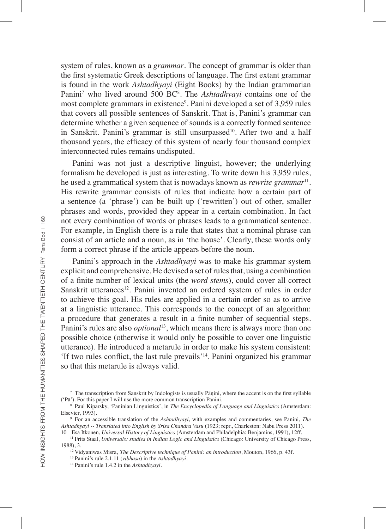system of rules, known as a *grammar*. The concept of grammar is older than the first systematic Greek descriptions of language. The first extant grammar is found in the work *Ashtadhyayi* (Eight Books) by the Indian grammarian Panini<sup>7</sup> who lived around 500 BC<sup>8</sup>. The *Ashtadhyayi* contains one of the most complete grammars in existence<sup>9</sup>. Panini developed a set of 3,959 rules that covers all possible sentences of Sanskrit. That is, Panini's grammar can determine whether a given sequence of sounds is a correctly formed sentence in Sanskrit. Panini's grammar is still unsurpassed<sup>10</sup>. After two and a half thousand years, the efficacy of this system of nearly four thousand complex interconnected rules remains undisputed.

Panini was not just a descriptive linguist, however; the underlying formalism he developed is just as interesting. To write down his 3,959 rules, he used a grammatical system that is nowadays known as *rewrite grammar*<sup>11</sup>*.* His rewrite grammar consists of rules that indicate how a certain part of a sentence (a 'phrase') can be built up ('rewritten') out of other, smaller phrases and words, provided they appear in a certain combination. In fact not every combination of words or phrases leads to a grammatical sentence. For example, in English there is a rule that states that a nominal phrase can consist of an article and a noun, as in 'the house'. Clearly, these words only form a correct phrase if the article appears before the noun.

Panini's approach in the *Ashtadhyayi* was to make his grammar system explicit and comprehensive. He devised a set of rules that, using a combination of a finite number of lexical units (the *word stems*), could cover all correct Sanskrit utterances<sup>12</sup>. Panini invented an ordered system of rules in order to achieve this goal. His rules are applied in a certain order so as to arrive at a linguistic utterance. This corresponds to the concept of an algorithm: a procedure that generates a result in a finite number of sequential steps. Panini's rules are also *optional*<sup>13</sup>, which means there is always more than one possible choice (otherwise it would only be possible to cover one linguistic utterance). He introduced a metarule in order to make his system consistent: 'If two rules conflict, the last rule prevails'14. Panini organized his grammar so that this metarule is always valid.

1988), 3.

<sup>7</sup> The transcription from Sanskrit by Indologists is usually Pāṇini, where the accent is on the first syllable ('Pā'). For this paper I will use the more common transcription Panini.

<sup>8</sup> Paul Kiparsky, 'Paninian Linguistics', in *The Encyclopedia of Language and Linguistics* (Amsterdam: Elsevier, 1993).

<sup>9</sup> For an accessible translation of the *Ashtadhyayi*, with examples and commentaries, see Panini, *The Ashtadhyayi -- Translated into English by Srisa Chandra Vasu* (1923; repr., Charleston: Nabu Press 2011). 10 Esa Itkonen, *Universal History of Linguistics* (Amsterdam and Philadelphia: Benjamins, 1991), 12ff.

<sup>11</sup> Frits Staal, *Universals: studies in Indian Logic and Linguistics* (Chicago: University of Chicago Press,

<sup>12</sup> Vidyaniwas Misra, *The Descriptive technique of Panini: an introduction*, Mouton, 1966, p. 43f.

<sup>13</sup> Panini's rule 2.1.11 (*vibhasa*) in the *Ashtadhyayi*.

<sup>14</sup> Panini's rule 1.4.2 in the *Ashtadhyayi*.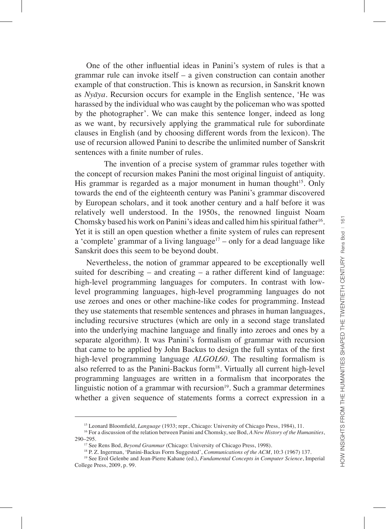harassed by the individual who was caught by the policeman who was spotted by the photographer'. We can make this sentence longer, indeed as long as we want, by recursively applying the grammatical rule for subordinate clauses in English (and by choosing different words from the lexicon). The use of recursion allowed Panini to describe the unlimited number of Sanskrit sentences with a finite number of rules. The invention of a precise system of grammar rules together with the concept of recursion makes Panini the most original linguist of antiquity. His grammar is regarded as a major monument in human thought<sup>15</sup>. Only towards the end of the eighteenth century was Panini's grammar discovered by European scholars, and it took another century and a half before it was relatively well understood. In the 1950s, the renowned linguist Noam Chomsky based his work on Panini's ideas and called him his spiritual father<sup>16</sup>. Yet it is still an open question whether a finite system of rules can represent a 'complete' grammar of a living language<sup>17</sup> – only for a dead language like

Sanskrit does this seem to be beyond doubt. Nevertheless, the notion of grammar appeared to be exceptionally well suited for describing – and creating – a rather different kind of language: high-level programming languages for computers. In contrast with lowlevel programming languages, high-level programming languages do not use zeroes and ones or other machine-like codes for programming. Instead they use statements that resemble sentences and phrases in human languages, including recursive structures (which are only in a second stage translated into the underlying machine language and finally into zeroes and ones by a separate algorithm). It was Panini's formalism of grammar with recursion that came to be applied by John Backus to design the full syntax of the first high-level programming language *ALGOL60*. The resulting formalism is also referred to as the Panini-Backus form<sup>18</sup>. Virtually all current high-level programming languages are written in a formalism that incorporates the linguistic notion of a grammar with recursion $19$ . Such a grammar determines whether a given sequence of statements forms a correct expression in a

One of the other influential ideas in Panini's system of rules is that a grammar rule can invoke itself – a given construction can contain another example of that construction. This is known as recursion, in Sanskrit known as *Nyāya*. Recursion occurs for example in the English sentence, 'He was

<sup>&</sup>lt;sup>15</sup> Leonard Bloomfield, *Language* (1933; repr., Chicago: University of Chicago Press, 1984), 11.

<sup>16</sup> For a discussion of the relation between Panini and Chomsky, see Bod, *A New History of the Humanities*, 290–295.

<sup>17</sup> See Rens Bod, *Beyond Grammar* (Chicago: University of Chicago Press, 1998).

<sup>18</sup> P. Z. Ingerman, 'Panini-Backus Form Suggested', *Communications of the ACM*, 10:3 (1967) 137.

<sup>19</sup> See Erol Gelenbe and Jean-Pierre Kahane (ed.), *Fundamental Concepts in Computer Science*, Imperial College Press, 2009, p. 99.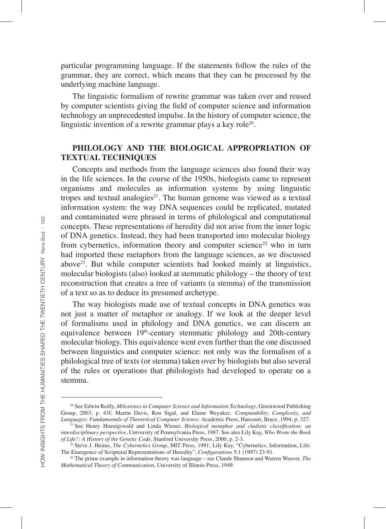particular programming language. If the statements follow the rules of the grammar, they are correct, which means that they can be processed by the underlying machine language.

The linguistic formalism of rewrite grammar was taken over and reused by computer scientists giving the field of computer science and information technology an unprecedented impulse. In the history of computer science, the linguistic invention of a rewrite grammar plays a key role<sup>20</sup>.

# **PHILOLOGY AND THE BIOLOGICAL APPROPRIATION OF TEXTUAL TECHNIQUES**

Concepts and methods from the language sciences also found their way in the life sciences. In the course of the 1950s, biologists came to represent organisms and molecules as information systems by using linguistic tropes and textual analogies<sup>21</sup>. The human genome was viewed as a textual information system: the way DNA sequences could be replicated, mutated and contaminated were phrased in terms of philological and computational concepts. These representations of heredity did not arise from the inner logic of DNA genetics. Instead, they had been transported into molecular biology from cybernetics, information theory and computer science<sup>22</sup> who in turn had imported these metaphors from the language sciences, as we discussed above23. But while computer scientists had looked mainly at linguistics, molecular biologists (also) looked at stemmatic philology – the theory of text reconstruction that creates a tree of variants (a stemma) of the transmission of a text so as to deduce its presumed archetype.

The way biologists made use of textual concepts in DNA genetics was not just a matter of metaphor or analogy. If we look at the deeper level of formalisms used in philology and DNA genetics, we can discern an equivalence between 19<sup>th</sup>-century stemmatic philology and 20th-century molecular biology. This equivalence went even further than the one discussed between linguistics and computer science: not only was the formalism of a philological tree of texts (or stemma) taken over by biologists but also several of the rules or operations that philologists had developed to operate on a stemma.

<sup>20</sup> See Edwin Reilly, *Milestones in Computer Science and Information Technology*, Greenwood Publishing Group, 2003, p. 43f; Martin Davis, Ron Sigal, and Elaine Weyuker, *Computability, Complexity, and Languages: Fundamentals of Theoretical Computer Science*. Academic Press, Harcourt, Brace, 1994, p. 327.

<sup>21</sup> See Henry Hoenigswald and Linda Wiener, *Biological metaphor and cladistic classification: an interdisciplinary perspective*, University of Pennsylvania Press, 1987. See also Lily Kay, *Who Wrote the Book of Life?: A History of the Genetic Code*, Stanford University Press, 2000, p. 2-3.

<sup>&</sup>lt;sup>22</sup> Steve J. Heims, *The Cybernetics Group*, MIT Press, 1991; Lily Kay, "Cybernetics, Information, Life: The Emergence of Scriptural Representations of Heredity", *Configurations* 5:1 (1997) 23-91.

<sup>23</sup> The prime example in information theory was language – see Claude Shannon and Warren Weaver, *The Mathematical Theory of Communication*, University of Illinois Press, 1949.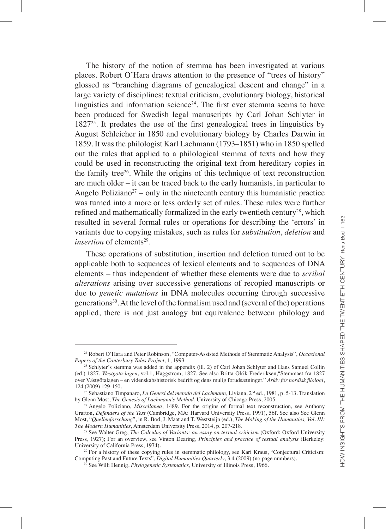The history of the notion of stemma has been investigated at various places. Robert O'Hara draws attention to the presence of "trees of history" glossed as "branching diagrams of genealogical descent and change" in a large variety of disciplines: textual criticism, evolutionary biology, historical linguistics and information science<sup>24</sup>. The first ever stemma seems to have been produced for Swedish legal manuscripts by Carl Johan Schlyter in 182725. It predates the use of the first genealogical trees in linguistics by August Schleicher in 1850 and evolutionary biology by Charles Darwin in 1859. It was the philologist Karl Lachmann (1793–1851) who in 1850 spelled out the rules that applied to a philological stemma of texts and how they could be used in reconstructing the original text from hereditary copies in the family tree26. While the origins of this technique of text reconstruction are much older – it can be traced back to the early humanists, in particular to Angelo Poliziano<sup>27</sup> – only in the nineteenth century this humanistic practice was turned into a more or less orderly set of rules. These rules were further refined and mathematically formalized in the early twentieth century<sup>28</sup>, which resulted in several formal rules or operations for describing the 'errors' in variants due to copying mistakes, such as rules for *substitution*, *deletion* and *insertion* of elements<sup>29</sup>

These operations of substitution, insertion and deletion turned out to be applicable both to sequences of lexical elements and to sequences of DNA elements – thus independent of whether these elements were due to *scribal alterations* arising over successive generations of recopied manuscripts or due to *genetic mutations* in DNA molecules occurring through successive generations30. At the level of the formalism used and (several of the) operations applied, there is not just analogy but equivalence between philology and

<sup>24</sup> Robert O'Hara and Peter Robinson, "Computer-Assisted Methods of Stemmatic Analysis", *Occasional Papers of the Canterbury Tales Project,* 1, 1993

<sup>&</sup>lt;sup>25</sup> Schlyter's stemma was added in the appendix (ill. 2) of Carl Johan Schlyter and Hans Samuel Collin (ed.) 1827. *Westgöta-lagen*, vol.1, Häggström, 1827. See also Britta Olrik Frederiksen,"Stemmaet fra 1827 over Västgötalagen – en videnskabshistorisk bedrift og dens mulig forudsætninger." *Arkiv för nordisk filologi*, 124 (2009) 129-150.

<sup>26</sup> Sebastiano Timpanaro, *La Genesi del metodo del Lachmann*, Liviana, 2nd ed., 1981, p. 5-13. Translation by Glenn Most, *The Genesis of Lachmann's Method*, University of Chicago Press, 2005.

<sup>27</sup> Angelo Poliziano, *Miscellanea*, 1489. For the origins of formal text reconstruction, see Anthony Grafton, *Defenders of the Text* (Cambridge, MA: Harvard University Press, 1991), 56f. See also See Glenn Most, "*Quellenforschung*", in R. Bod, J. Maat and T. Weststeijn (ed.), *The Making of the Humanities, Vol. III: The Modern Humanities*, Amsterdam University Press, 2014, p. 207-218.

<sup>28</sup> See Walter Greg, *The Calculus of Variants: an essay on textual criticism* (Oxford: Oxford University Press, 1927); For an overview, see Vinton Dearing, *Principles and practice of textual analysis* (Berkeley: University of California Press, 1974).

<sup>29</sup> For a history of these copying rules in stemmatic philology, see Kari Kraus, "Conjectural Criticism: Computing Past and Future Texts", *Digital Humanities Quarterly*, 3:4 (2009) (no page numbers).

<sup>30</sup> See Willi Hennig, *Phylogenetic Systematics*, University of Illinois Press, 1966.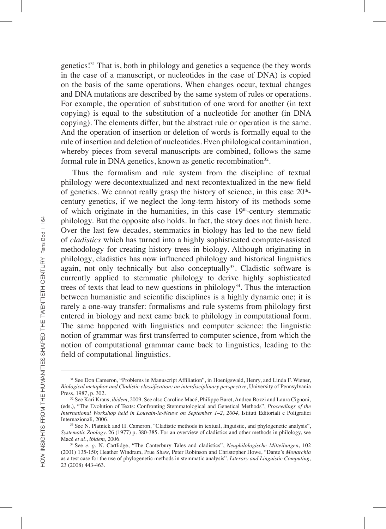genetics!31 That is, both in philology and genetics a sequence (be they words in the case of a manuscript, or nucleotides in the case of DNA) is copied on the basis of the same operations. When changes occur, textual changes and DNA mutations are described by the same system of rules or operations. For example, the operation of substitution of one word for another (in text copying) is equal to the substitution of a nucleotide for another (in DNA copying). The elements differ, but the abstract rule or operation is the same. And the operation of insertion or deletion of words is formally equal to the rule of insertion and deletion of nucleotides. Even philological contamination, whereby pieces from several manuscripts are combined, follows the same formal rule in DNA genetics, known as genetic recombination $32$ .

Thus the formalism and rule system from the discipline of textual philology were decontextualized and next recontextualized in the new field of genetics. We cannot really grasp the history of science, in this case  $20<sup>th</sup>$ century genetics, if we neglect the long-term history of its methods some of which originate in the humanities, in this case 19<sup>th</sup>-century stemmatic philology. But the opposite also holds. In fact, the story does not finish here. Over the last few decades, stemmatics in biology has led to the new field of *cladistics* which has turned into a highly sophisticated computer-assisted methodology for creating history trees in biology. Although originating in philology, cladistics has now influenced philology and historical linguistics again, not only technically but also conceptually<sup>33</sup>. Cladistic software is currently applied to stemmatic philology to derive highly sophisticated trees of texts that lead to new questions in philology<sup>34</sup>. Thus the interaction between humanistic and scientific disciplines is a highly dynamic one; it is rarely a one-way transfer: formalisms and rule systems from philology first entered in biology and next came back to philology in computational form. The same happened with linguistics and computer science: the linguistic notion of grammar was first transferred to computer science, from which the notion of computational grammar came back to linguistics, leading to the field of computational linguistics.

<sup>&</sup>lt;sup>31</sup> See Don Cameron, "Problems in Manuscript Affiliation", in Hoenigswald, Henry, and Linda F. Wiener, *Biological metaphor and Cladistic classification: an interdisciplinary perspective*, University of Pennsylvania Press, 1987, p. 302.

<sup>32</sup> See Kari Kraus, *ibidem*, 2009. See also Caroline Macé, Philippe Baret, Andrea Bozzi and Laura Cignoni, (eds.), "The Evolution of Texts: Confronting Stemmatological and Genetical Methods", *Proceedings of the International Workshop held in Louvain-la-Neuve on September 1–2*, *2004*, Istituti Editoriali e Poligrafici Internazionali, 2006.

<sup>&</sup>lt;sup>33</sup> See N. Platnick and H. Cameron, "Cladistic methods in textual, linguistic, and phylogenetic analysis", *Systematic Zoology.* 26 (1977) p. 380-385. For an overview of cladistics and other methods in philology, see Macé *et al.*, *ibidem,* 2006.

<sup>34</sup> See *e. g.* N. Cartlidge, "The Canterbury Tales and cladistics", *Neuphilologische Mitteilungen*, 102 (2001) 135-150; Heather Windram, Prue Shaw, Peter Robinson and Christopher Howe, "Dante's *Monarchia* as a test case for the use of phylogenetic methods in stemmatic analysis", *Literary and Linguistic Computing,*  23 (2008) 443-463.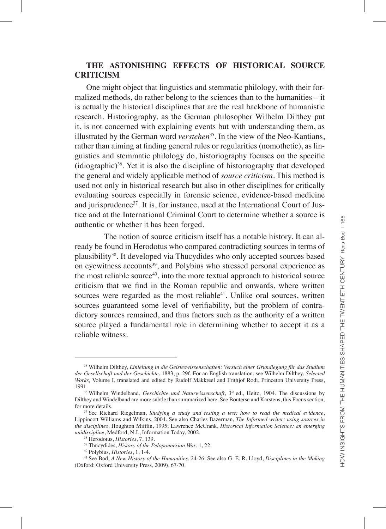# **THE ASTONISHING EFFECTS OF HISTORICAL SOURCE CRITICISM**

One might object that linguistics and stemmatic philology, with their formalized methods, do rather belong to the sciences than to the humanities – it is actually the historical disciplines that are the real backbone of humanistic research. Historiography, as the German philosopher Wilhelm Dilthey put it, is not concerned with explaining events but with understanding them, as illustrated by the German word *verstehen*<sup>35</sup>. In the view of the Neo-Kantians, rather than aiming at finding general rules or regularities (nomothetic), as linguistics and stemmatic philology do, historiography focuses on the specific  $(idiographic)<sup>36</sup>$ . Yet it is also the discipline of historiography that developed the general and widely applicable method of *source criticism*. This method is used not only in historical research but also in other disciplines for critically evaluating sources especially in forensic science, evidence-based medicine and jurisprudence<sup>37</sup>. It is, for instance, used at the International Court of Justice and at the International Criminal Court to determine whether a source is authentic or whether it has been forged.

The notion of source criticism itself has a notable history. It can already be found in Herodotus who compared contradicting sources in terms of plausibility38. It developed via Thucydides who only accepted sources based on eyewitness accounts<sup>39</sup>, and Polybius who stressed personal experience as the most reliable source<sup>40</sup>, into the more textual approach to historical source criticism that we find in the Roman republic and onwards, where written sources were regarded as the most reliable<sup>41</sup>. Unlike oral sources, written sources guaranteed some level of verifiability, but the problem of contradictory sources remained, and thus factors such as the authority of a written source played a fundamental role in determining whether to accept it as a reliable witness.

<sup>35</sup> Wilhelm Dilthey, *Einleitung in die Geisteswissenschaften: Versuch einer Grundlegung für das Studium der Gesellschaft und der Geschichte*, 1883, p. 29f. For an English translation, see Wilhelm Dilthey, *Selected Works,* Volume I, translated and edited by Rudolf Makkreel and Frithjof Rodi, Princeton University Press, 1991.

<sup>&</sup>lt;sup>36</sup> Wilhelm Windelband, *Geschichte und Naturwissenschaft*, 3<sup>rd</sup> ed., Heitz, 1904. The discussions by Dilthey and Windelband are more subtle than summarized here. See Bouterse and Karstens, this Focus section, for more details.

<sup>37</sup> See Richard Riegelman, *Studying a study and testing a test: how to read the medical evidence*, Lippincott Williams and Wilkins, 2004. See also Charles Bazerman, *The Informed writer: using sources in the disciplines*, Houghton Mifflin, 1995; Lawrence McCrank, *Historical Information Science: an emerging unidiscipline*, Medford, N.J., Information Today, 2002.

<sup>38</sup> Herodotus, *Histories*, 7, 139.

<sup>39</sup> Thucydides, *History of the Peloponnesian War*, 1, 22.

<sup>40</sup> Polybius, *Histories*, 1, 1-4.

<sup>41</sup> See Bod, *A New History of the Humanities*, 24-26. See also G. E. R. Lloyd, *Disciplines in the Making* (Oxford: Oxford University Press, 2009), 67-70.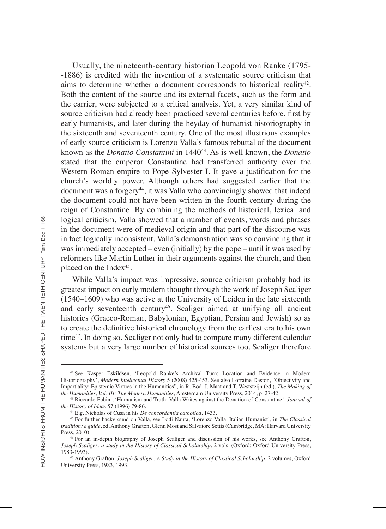Usually, the nineteenth-century historian Leopold von Ranke (1795- -1886) is credited with the invention of a systematic source criticism that aims to determine whether a document corresponds to historical reality<sup>42</sup>. Both the content of the source and its external facets, such as the form and the carrier, were subjected to a critical analysis. Yet, a very similar kind of source criticism had already been practiced several centuries before, first by early humanists, and later during the heyday of humanist historiography in the sixteenth and seventeenth century. One of the most illustrious examples of early source criticism is Lorenzo Valla's famous rebuttal of the document known as the *Donatio Constantini* in 144043. As is well known, the *Donatio* stated that the emperor Constantine had transferred authority over the Western Roman empire to Pope Sylvester I. It gave a justification for the church's worldly power. Although others had suggested earlier that the document was a forgery<sup>44</sup>, it was Valla who convincingly showed that indeed the document could not have been written in the fourth century during the reign of Constantine. By combining the methods of historical, lexical and logical criticism, Valla showed that a number of events, words and phrases in the document were of medieval origin and that part of the discourse was in fact logically inconsistent. Valla's demonstration was so convincing that it was immediately accepted – even (initially) by the pope – until it was used by reformers like Martin Luther in their arguments against the church, and then placed on the Index<sup>45</sup>.

While Valla's impact was impressive, source criticism probably had its greatest impact on early modern thought through the work of Joseph Scaliger (1540–1609) who was active at the University of Leiden in the late sixteenth and early seventeenth century<sup>46</sup>. Scaliger aimed at unifying all ancient histories (Graeco-Roman, Babylonian, Egyptian, Persian and Jewish) so as to create the definitive historical chronology from the earliest era to his own time<sup>47</sup>. In doing so, Scaliger not only had to compare many different calendar systems but a very large number of historical sources too. Scaliger therefore

<sup>42</sup> See Kasper Eskildsen, 'Leopold Ranke's Archival Turn: Location and Evidence in Modern Historiography', *Modern Intellectual History* 5 (2008) 425-453. See also Lorraine Daston, "Objectivity and Impartiality: Epistemic Virtues in the Humanities", in R. Bod, J. Maat and T. Weststeijn (ed.), *The Making of the Humanities, Vol. III: The Modern Humanities*, Amsterdam University Press, 2014, p. 27-42.

<sup>43</sup> Riccardo Fubini, 'Humanism and Truth: Valla Writes against the Donation of Constantine', *Journal of the History of Ideas* 57 **(**1996) 79-86.

<sup>44</sup> E.g. Nicholas of Cusa in his *De concordantia catholica*, 1433.

<sup>45</sup> For further background on Valla, see Lodi Nauta, 'Lorenzo Valla. Italian Humanist', in *The Classical tradition: a guide*, ed. Anthony Grafton, Glenn Most and Salvatore Settis (Cambridge, MA: Harvard University Press, 2010).

<sup>&</sup>lt;sup>46</sup> For an in-depth biography of Joseph Scaliger and discussion of his works, see Anthony Grafton, *Joseph Scaliger: a study in the History of Classical Scholarship*, 2 vols. (Oxford: Oxford University Press, 1983-1993).

<sup>47</sup> Anthony Grafton, *Joseph Scaliger: A Study in the History of Classical Scholarship*, 2 volumes, Oxford University Press, 1983, 1993.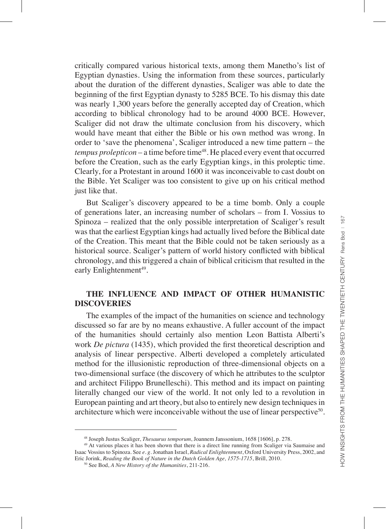critically compared various historical texts, among them Manetho's list of Egyptian dynasties. Using the information from these sources, particularly about the duration of the different dynasties, Scaliger was able to date the beginning of the first Egyptian dynasty to 5285 BCE. To his dismay this date was nearly 1,300 years before the generally accepted day of Creation, which according to biblical chronology had to be around 4000 BCE. However, Scaliger did not draw the ultimate conclusion from his discovery, which would have meant that either the Bible or his own method was wrong. In order to 'save the phenomena', Scaliger introduced a new time pattern – the *tempus prolepticon* – a time before time<sup>48</sup>. He placed every event that occurred before the Creation, such as the early Egyptian kings, in this proleptic time. Clearly, for a Protestant in around 1600 it was inconceivable to cast doubt on the Bible. Yet Scaliger was too consistent to give up on his critical method just like that.

But Scaliger's discovery appeared to be a time bomb. Only a couple of generations later, an increasing number of scholars – from I. Vossius to Spinoza – realized that the only possible interpretation of Scaliger's result was that the earliest Egyptian kings had actually lived before the Biblical date of the Creation. This meant that the Bible could not be taken seriously as a historical source. Scaliger's pattern of world history conflicted with biblical chronology, and this triggered a chain of biblical criticism that resulted in the early Enlightenment<sup>49</sup>.

# **THE INFLUENCE AND IMPACT OF OTHER HUMANISTIC DISCOVERIES**

The examples of the impact of the humanities on science and technology discussed so far are by no means exhaustive. A fuller account of the impact of the humanities should certainly also mention Leon Battista Alberti's work *De pictura* (1435), which provided the first theoretical description and analysis of linear perspective. Alberti developed a completely articulated method for the illusionistic reproduction of three-dimensional objects on a two-dimensional surface (the discovery of which he attributes to the sculptor and architect Filippo Brunelleschi). This method and its impact on painting literally changed our view of the world. It not only led to a revolution in European painting and art theory, but also to entirely new design techniques in architecture which were inconceivable without the use of linear perspective<sup>50</sup>.

<sup>48</sup> Joseph Justus Scaliger, *Thesaurus temporum*, Joannem Janssonium, 1658 [1606], p. 278.

<sup>&</sup>lt;sup>49</sup> At various places it has been shown that there is a direct line running from Scaliger via Saumaise and Isaac Vossius to Spinoza. See *e. g.* Jonathan Israel, *Radical Enlightenment*, Oxford University Press, 2002, and Eric Jorink, *Reading the Book of Nature in the Dutch Golden Age, 1575-1715*, Brill, 2010.

<sup>50</sup> See Bod, *A New History of the Humanities*, 211-216.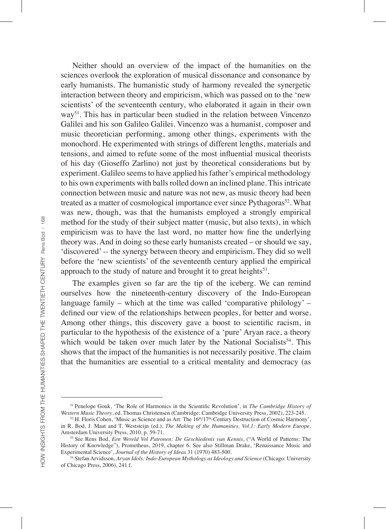Neither should an overview of the impact of the humanities on the sciences overlook the exploration of musical dissonance and consonance by early humanists. The humanistic study of harmony revealed the synergetic interaction between theory and empiricism, which was passed on to the 'new scientists' of the seventeenth century, who elaborated it again in their own way<sup>51</sup>. This has in particular been studied in the relation between Vincenzo Galilei and his son Galileo Galilei. Vincenzo was a humanist, composer and music theoretician performing, among other things, experiments with the monochord. He experimented with strings of different lengths, materials and tensions, and aimed to refute some of the most influential musical theorists of his day (Gioseffo Zarlino) not just by theoretical considerations but by experiment. Galileo seems to have applied his father's empirical methodology to his own experiments with balls rolled down an inclined plane. This intricate connection between music and nature was not new, as music theory had been treated as a matter of cosmological importance ever since Pythagoras<sup>52</sup>. What was new, though, was that the humanists employed a strongly empirical method for the study of their subject matter (music, but also texts), in which empiricism was to have the last word, no matter how fine the underlying theory was. And in doing so these early humanists created – or should we say, 'discovered' -- the synergy between theory and empiricism. They did so well before the 'new scientists' of the seventeenth century applied the empirical approach to the study of nature and brought it to great heights<sup>53</sup>.

The examples given so far are the tip of the iceberg. We can remind ourselves how the nineteenth-century discovery of the Indo-European language family – which at the time was called 'comparative philology' – defined our view of the relationships between peoples, for better and worse. Among other things, this discovery gave a boost to scientific racism, in particular to the hypothesis of the existence of a 'pure' Aryan race, a theory which would be taken over much later by the National Socialists<sup>54</sup>. This shows that the impact of the humanities is not necessarily positive. The claim that the humanities are essential to a critical mentality and democracy (as

<sup>51</sup> Penelope Gouk, 'The Role of Harmonics in the Scientific Revolution', in *The Cambridge History of Western Music Theory*, ed. Thomas Christensen (Cambridge: Cambridge University Press, 2002), 223-245.

 $52$  H. Floris Cohen, 'Music as Science and as Art: The  $16<sup>th</sup>/17<sup>th</sup>$ -Century Destruction of Cosmic Harmony', in R. Bod, J. Maat and T. Weststeijn (ed.), *The Making of the Humanities, Vol.1: Early Modern Europe,*  Amsterdam University Press, 2010, p. 59-71.

<sup>53</sup> See Rens Bod, *Een Wereld Vol Patronen: De Geschiedenis van Kennis*, ("A World of Patterns: The History of Knowledge"), Prometheus, 2019, chapter 6. See also Stillman Drake, 'Renaissance Music and Experimental Science', *Journal of the History of Ideas* 31 (1970) 483-500.

<sup>54</sup> Stefan Arvidsson, *Aryan Idols: Indo-European Mythology as Ideology and Science* (Chicago: University of Chicago Press, 2006), 241 f.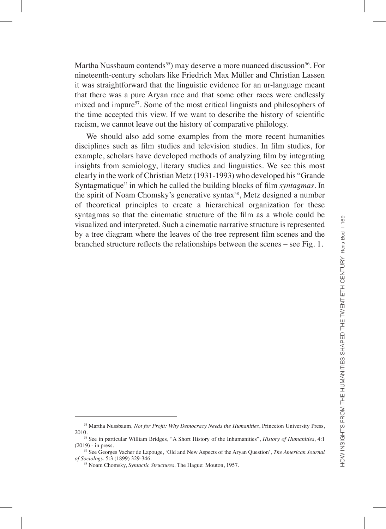Martha Nussbaum contends<sup>55</sup>) may deserve a more nuanced discussion<sup>56</sup>. For nineteenth-century scholars like Friedrich Max Müller and Christian Lassen it was straightforward that the linguistic evidence for an ur-language meant that there was a pure Aryan race and that some other races were endlessly mixed and impure<sup>57</sup>. Some of the most critical linguists and philosophers of the time accepted this view. If we want to describe the history of scientific racism, we cannot leave out the history of comparative philology.

We should also add some examples from the more recent humanities disciplines such as film studies and television studies. In film studies, for example, scholars have developed methods of analyzing film by integrating insights from semiology, literary studies and linguistics. We see this most clearly in the work of Christian Metz (1931-1993) who developed his "Grande Syntagmatique" in which he called the building blocks of film *syntagmas*. In the spirit of Noam Chomsky's generative syntax<sup>58</sup>, Metz designed a number of theoretical principles to create a hierarchical organization for these syntagmas so that the cinematic structure of the film as a whole could be visualized and interpreted. Such a cinematic narrative structure is represented by a tree diagram where the leaves of the tree represent film scenes and the branched structure reflects the relationships between the scenes – see Fig. 1.

<sup>55</sup> Martha Nussbaum, *Not for Profit: Why Democracy Needs the Humanities*, Princeton University Press, 2010.

<sup>56</sup> See in particular William Bridges, "A Short History of the Inhumanities", *History of Humanities*, 4:1 (2019) - in press.

<sup>57</sup> See Georges Vacher de Lapouge, 'Old and New Aspects of the Aryan Question', *The American Journal of Sociology.* 5:3 (1899) 329-346.

<sup>58</sup> Noam Chomsky, *Syntactic Structures.* The Hague: Mouton, 1957.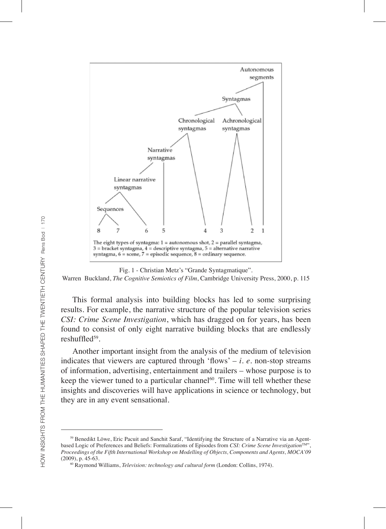

#### Fig. 1 - Christian Metz's "Grande Syntagmatique".

#### Warren Buckland, *The Cognitive Semiotics of Film*, Cambridge University Press, 2000, p. 115

This formal analysis into building blocks has led to some surprising results. For example, the narrative structure of the popular television series *CSI: Crime Scene Investigation*, which has dragged on for years, has been found to consist of only eight narrative building blocks that are endlessly reshuffled<sup>59</sup>.

Another important insight from the analysis of the medium of television indicates that viewers are captured through 'flows'  $-i$ .  $e$ . non-stop streams of information, advertising, entertainment and trailers – whose purpose is to keep the viewer tuned to a particular channel $60$ . Time will tell whether these insights and discoveries will have applications in science or technology, but they are in any event sensational.

<sup>59</sup> Benedikt Löwe, Eric Pacuit and Sanchit Saraf, "Identifying the Structure of a Narrative via an Agentbased Logic of Preferences and Beliefs: Formalizations of Episodes from *CSI: Crime Scene Investigation*<sup>TM"</sup>, *Proceedings of the Fifth International Workshop on Modelling of Objects, Components and Agents, MOCA'09*  (2009), p. 45-63.

<sup>60</sup> Raymond Williams, *Television: technology and cultural form* (London: Collins, 1974).